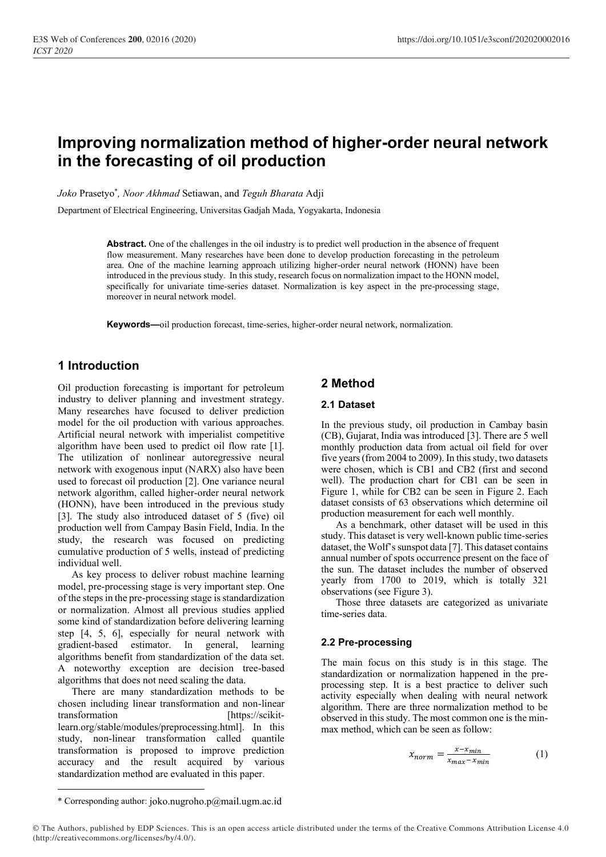# **Improving normalization method of higher-order neural network in the forecasting of oil production**

*Joko* Prasetyo\* *, Noor Akhmad* Setiawan, and *Teguh Bharata* Adji

Department of Electrical Engineering, Universitas Gadjah Mada, Yogyakarta, Indonesia

**Abstract.** One of the challenges in the oil industry is to predict well production in the absence of frequent flow measurement. Many researches have been done to develop production forecasting in the petroleum area. One of the machine learning approach utilizing higher-order neural network (HONN) have been introduced in the previous study. In this study, research focus on normalization impact to the HONN model, specifically for univariate time-series dataset. Normalization is key aspect in the pre-processing stage, moreover in neural network model.

**Keywords—**oil production forecast, time-series, higher-order neural network, normalization.

## **1 Introduction**

Oil production forecasting is important for petroleum industry to deliver planning and investment strategy. Many researches have focused to deliver prediction model for the oil production with various approaches. Artificial neural network with imperialist competitive algorithm have been used to predict oil flow rate [1]. The utilization of nonlinear autoregressive neural network with exogenous input (NARX) also have been used to forecast oil production [2]. One variance neural network algorithm, called higher-order neural network (HONN), have been introduced in the previous study [3]. The study also introduced dataset of 5 (five) oil production well from Campay Basin Field, India. In the study, the research was focused on predicting cumulative production of 5 wells, instead of predicting individual well.

As key process to deliver robust machine learning model, pre-processing stage is very important step. One of the steps in the pre-processing stage is standardization or normalization. Almost all previous studies applied some kind of standardization before delivering learning step [4, 5, 6], especially for neural network with gradient-based estimator. In general, learning algorithms benefit from standardization of the data set. A noteworthy exception are decision tree-based algorithms that does not need scaling the data.

There are many standardization methods to be chosen including linear transformation and non-linear transformation [https://scikitlearn.org/stable/modules/preprocessing.html]. In this study, non-linear transformation called quantile transformation is proposed to improve prediction accuracy and the result acquired by various standardization method are evaluated in this paper.

## **2 Method**

#### **2.1 Dataset**

In the previous study, oil production in Cambay basin (CB), Gujarat, India was introduced [3]. There are 5 well monthly production data from actual oil field for over five years (from 2004 to 2009). In this study, two datasets were chosen, which is CB1 and CB2 (first and second well). The production chart for CB1 can be seen in Figure 1, while for CB2 can be seen in Figure 2. Each dataset consists of 63 observations which determine oil production measurement for each well monthly.

As a benchmark, other dataset will be used in this study. This dataset is very well-known public time-series dataset, the Wolf's sunspot data [7]. This dataset contains annual number of spots occurrence present on the face of the sun. The dataset includes the number of observed yearly from 1700 to 2019, which is totally 321 observations (see Figure 3).

Those three datasets are categorized as univariate time-series data.

#### **2.2 Pre-processing**

The main focus on this study is in this stage. The standardization or normalization happened in the preprocessing step. It is a best practice to deliver such activity especially when dealing with neural network algorithm. There are three normalization method to be observed in this study. The most common one is the minmax method, which can be seen as follow:

$$
x_{norm} = \frac{x - x_{min}}{x_{max} - x_{min}} \tag{1}
$$

© The Authors, published by EDP Sciences. This is an open access article distributed under the terms of the Creative Commons Attribution License 4.0 (http://creativecommons.org/licenses/by/4.0/).

<sup>\*</sup> Corresponding author: joko.nugroho.p@mail.ugm.ac.id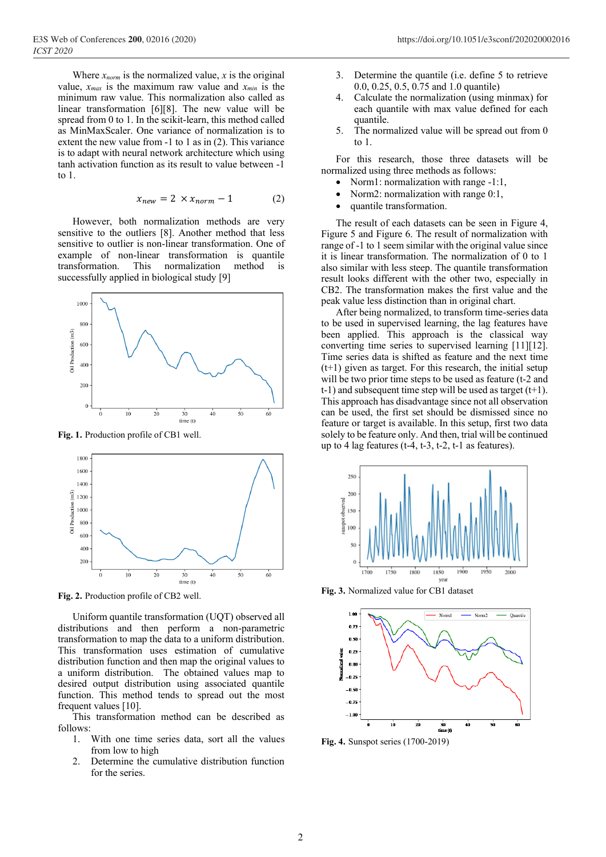Where  $x_{norm}$  is the normalized value, x is the original value,  $x_{max}$  is the maximum raw value and  $x_{min}$  is the minimum raw value. This normalization also called as linear transformation [6][8]. The new value will be spread from 0 to 1. In the scikit-learn, this method called as MinMaxScaler. One variance of normalization is to extent the new value from -1 to 1 as in (2). This variance is to adapt with neural network architecture which using tanh activation function as its result to value between -1 to 1.

$$
x_{new} = 2 \times x_{norm} - 1 \tag{2}
$$

However, both normalization methods are very sensitive to the outliers [8]. Another method that less sensitive to outlier is non-linear transformation. One of example of non-linear transformation is quantile transformation. This normalization method is successfully applied in biological study [9]



**Fig. 1.** Production profile of CB1 well.



**Fig. 2.** Production profile of CB2 well.

Uniform quantile transformation (UQT) observed all distributions and then perform a non-parametric transformation to map the data to a uniform distribution. This transformation uses estimation of cumulative distribution function and then map the original values to a uniform distribution. The obtained values map to desired output distribution using associated quantile function. This method tends to spread out the most frequent values [10].

This transformation method can be described as follows:

- 1. With one time series data, sort all the values from low to high
- 2. Determine the cumulative distribution function for the series.
- 3. Determine the quantile (i.e. define 5 to retrieve 0.0, 0.25, 0.5, 0.75 and 1.0 quantile)
- 4. Calculate the normalization (using minmax) for each quantile with max value defined for each quantile.
- 5. The normalized value will be spread out from 0 to 1.

For this research, those three datasets will be normalized using three methods as follows:

- Norm1: normalization with range -1:1,
- Norm2: normalization with range 0:1,
- quantile transformation.

The result of each datasets can be seen in Figure 4, Figure 5 and Figure 6. The result of normalization with range of -1 to 1 seem similar with the original value since it is linear transformation. The normalization of 0 to 1 also similar with less steep. The quantile transformation result looks different with the other two, especially in CB2. The transformation makes the first value and the peak value less distinction than in original chart.

After being normalized, to transform time-series data to be used in supervised learning, the lag features have been applied. This approach is the classical way converting time series to supervised learning [11][12]. Time series data is shifted as feature and the next time (t+1) given as target. For this research, the initial setup will be two prior time steps to be used as feature (t-2 and  $t-1$ ) and subsequent time step will be used as target  $(t+1)$ . This approach has disadvantage since not all observation can be used, the first set should be dismissed since no feature or target is available. In this setup, first two data solely to be feature only. And then, trial will be continued up to 4 lag features  $(t-4, t-3, t-2, t-1)$  as features).



**Fig. 3.** Normalized value for CB1 dataset



**Fig. 4.** Sunspot series (1700-2019)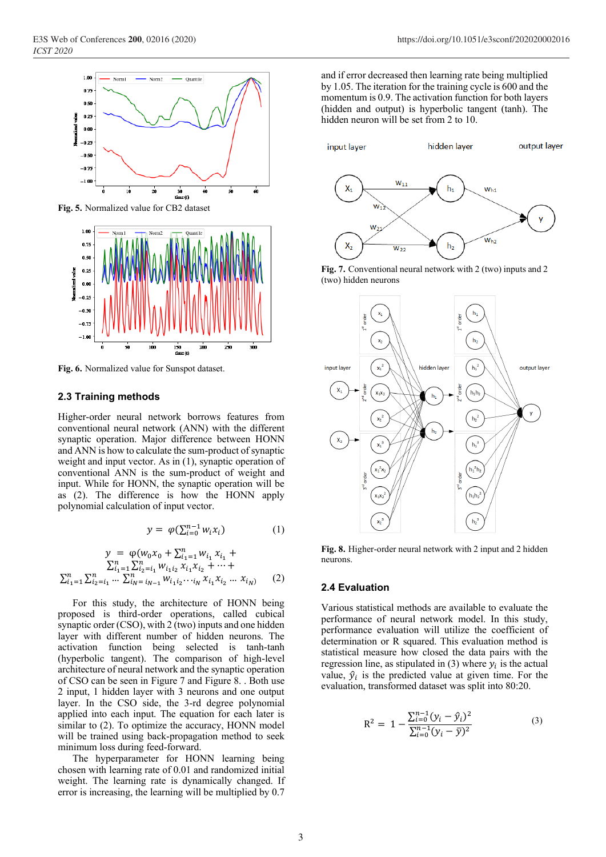

**Fig. 5.** Normalized value for CB2 dataset



**Fig. 6.** Normalized value for Sunspot dataset.

#### **2.3 Training methods**

Higher-order neural network borrows features from conventional neural network (ANN) with the different synaptic operation. Major difference between HONN and ANN is how to calculate the sum-product of synaptic weight and input vector. As in (1), synaptic operation of conventional ANN is the sum-product of weight and input. While for HONN, the synaptic operation will be as (2). The difference is how the HONN apply polynomial calculation of input vector.

$$
y = \varphi(\sum_{i=0}^{n-1} w_i x_i) \tag{1}
$$

$$
y = \varphi(w_0 x_0 + \sum_{i=1}^n w_{i_1} x_{i_1} + \sum_{i=1}^n \sum_{i=1}^n w_{i_1 i_2} x_{i_1} x_{i_2} + \dots + \sum_{i=1}^n \sum_{i_2=i_1}^n \dots \sum_{i_N=i_{N-1}}^n w_{i_1 i_2} \dots_{i_N} x_{i_1} x_{i_2} \dots x_{i_N}
$$
 (2)

For this study, the architecture of HONN being proposed is third-order operations, called cubical synaptic order (CSO), with 2 (two) inputs and one hidden layer with different number of hidden neurons. The activation function being selected is tanh-tanh (hyperbolic tangent). The comparison of high-level architecture of neural network and the synaptic operation of CSO can be seen in Figure 7 and Figure 8. . Both use 2 input, 1 hidden layer with 3 neurons and one output layer. In the CSO side, the 3-rd degree polynomial applied into each input. The equation for each later is similar to (2). To optimize the accuracy, HONN model will be trained using back-propagation method to seek minimum loss during feed-forward.

The hyperparameter for HONN learning being chosen with learning rate of 0.01 and randomized initial weight. The learning rate is dynamically changed. If error is increasing, the learning will be multiplied by 0.7

and if error decreased then learning rate being multiplied by 1.05. The iteration for the training cycle is 600 and the momentum is 0.9. The activation function for both layers (hidden and output) is hyperbolic tangent (tanh). The hidden neuron will be set from 2 to 10.



**Fig. 7.** Conventional neural network with 2 (two) inputs and 2 (two) hidden neurons



**Fig. 8.** Higher-order neural network with 2 input and 2 hidden neurons.

#### **2.4 Evaluation**

Various statistical methods are available to evaluate the performance of neural network model. In this study, performance evaluation will utilize the coefficient of determination or R squared. This evaluation method is statistical measure how closed the data pairs with the regression line, as stipulated in (3) where  $y_i$  is the actual value,  $\hat{y}_i$  is the predicted value at given time. For the evaluation, transformed dataset was split into 80:20.

$$
R^{2} = 1 - \frac{\sum_{i=0}^{n-1} (y_{i} - \hat{y}_{i})^{2}}{\sum_{i=0}^{n-1} (y_{i} - \bar{y})^{2}}
$$
(3)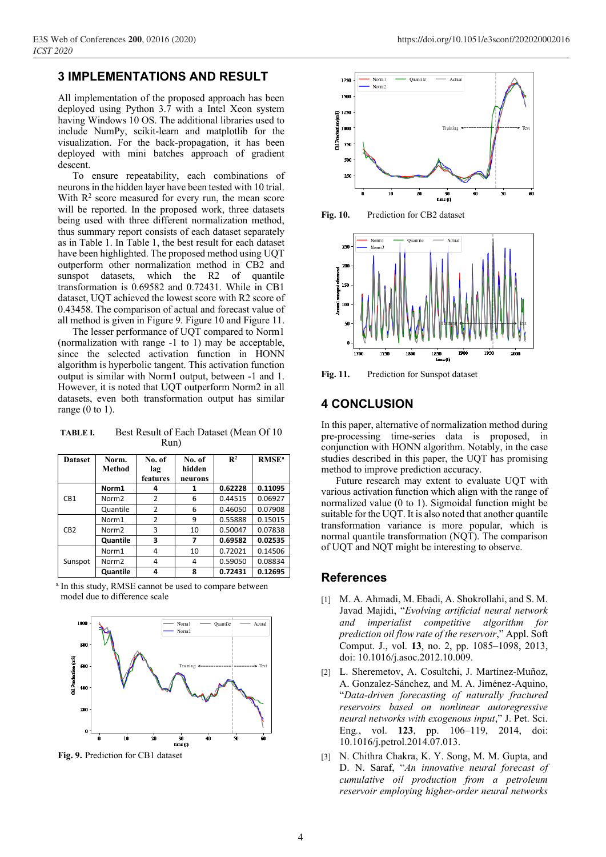## **3 IMPLEMENTATIONS AND RESULT**

All implementation of the proposed approach has been deployed using Python 3.7 with a Intel Xeon system having Windows 10 OS. The additional libraries used to include NumPy, scikit-learn and matplotlib for the visualization. For the back-propagation, it has been deployed with mini batches approach of gradient descent.

To ensure repeatability, each combinations of neurons in the hidden layer have been tested with 10 trial. With  $R<sup>2</sup>$  score measured for every run, the mean score will be reported. In the proposed work, three datasets being used with three different normalization method, thus summary report consists of each dataset separately as in Table 1. In Table 1, the best result for each dataset have been highlighted. The proposed method using UQT outperform other normalization method in CB2 and sunspot datasets, which the R2 of quantile transformation is 0.69582 and 0.72431. While in CB1 dataset, UQT achieved the lowest score with R2 score of 0.43458. The comparison of actual and forecast value of all method is given in Figure 9. Figure 10 and Figure 11.

The lesser performance of UQT compared to Norm1 (normalization with range -1 to 1) may be acceptable, since the selected activation function in HONN algorithm is hyperbolic tangent. This activation function output is similar with Norm1 output, between -1 and 1. However, it is noted that UQT outperform Norm2 in all datasets, even both transformation output has similar range  $(0 \text{ to } 1)$ .

**TABLE I.** Best Result of Each Dataset (Mean Of 10 Run)

| <b>Dataset</b>  | Norm.<br>Method   | No. of<br>lag<br>features | No. of<br>hidden<br>neurons | $\mathbf{R}^2$ | RMSE <sup>a</sup> |
|-----------------|-------------------|---------------------------|-----------------------------|----------------|-------------------|
| CB <sub>1</sub> | Norm1             | 4                         | 1                           | 0.62228        | 0.11095           |
|                 | Norm <sub>2</sub> | $\overline{2}$            | 6                           | 0.44515        | 0.06927           |
|                 | Quantile          | $\overline{2}$            | 6                           | 0.46050        | 0.07908           |
| CB <sub>2</sub> | Norm1             | $\overline{2}$            | 9                           | 0.55888        | 0.15015           |
|                 | Norm <sub>2</sub> | 3                         | 10                          | 0.50047        | 0.07838           |
|                 | Quantile          | 3                         | 7                           | 0.69582        | 0.02535           |
| Sunspot         | Norm1             | 4                         | 10                          | 0.72021        | 0.14506           |
|                 | Norm <sub>2</sub> | 4                         | 4                           | 0.59050        | 0.08834           |
|                 | Quantile          | 4                         | 8                           | 0.72431        | 0.12695           |

a. In this study, RMSE cannot be used to compare between model due to difference scale



**Fig. 9.** Prediction for CB1 dataset



**Fig. 11.** Prediction for Sunspot dataset

## **4 CONCLUSION**

In this paper, alternative of normalization method during pre-processing time-series data is proposed, in conjunction with HONN algorithm. Notably, in the case studies described in this paper, the UQT has promising method to improve prediction accuracy.

Future research may extent to evaluate UQT with various activation function which align with the range of normalized value (0 to 1). Sigmoidal function might be suitable for the UQT. It is also noted that another quantile transformation variance is more popular, which is normal quantile transformation (NQT). The comparison of UQT and NQT might be interesting to observe.

### **References**

- [1] M. A. Ahmadi, M. Ebadi, A. Shokrollahi, and S. M. Javad Majidi, "*Evolving artificial neural network and imperialist competitive algorithm for prediction oil flow rate of the reservoir*," Appl. Soft Comput. J., vol. **13**, no. 2, pp. 1085–1098, 2013, doi: 10.1016/j.asoc.2012.10.009.
- [2] L. Sheremetov, A. Cosultchi, J. Martínez-Muñoz, A. Gonzalez-Sánchez, and M. A. Jiménez-Aquino, "*Data-driven forecasting of naturally fractured reservoirs based on nonlinear autoregressive neural networks with exogenous input*," J. Pet. Sci. Eng*.*, vol. **123**, pp. 106–119, 2014, doi: 10.1016/j.petrol.2014.07.013.
- [3] N. Chithra Chakra, K. Y. Song, M. M. Gupta, and D. N. Saraf, "*An innovative neural forecast of cumulative oil production from a petroleum reservoir employing higher-order neural networks*